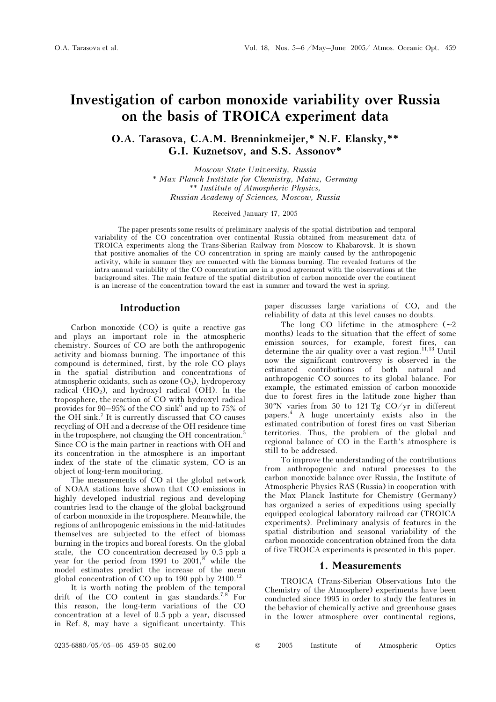# Investigation of carbon monoxide variability over Russia on the basis of TROICA experiment data

O.A. Tarasova, C.A.M. Brenninkmeijer,\* N.F. Elansky,\*\* G.I. Kuznetsov, and S.S. Assonov\*

> Moscow State University, Russia \* Max Planck Institute for Chemistry, Mainz, Germany \*\* Institute of Atmospheric Physics, Russian Academy of Sciences, Moscow, Russia

#### Received January 17, 2005

The paper presents some results of preliminary analysis of the spatial distribution and temporal variability of the CO concentration over continental Russia obtained from measurement data of TROICA experiments along the Trans-Siberian Railway from Moscow to Khabarovsk. It is shown that positive anomalies of the CO concentration in spring are mainly caused by the anthropogenic activity, while in summer they are connected with the biomass burning. The revealed features of the intra-annual variability of the CO concentration are in a good agreement with the observations at the background sites. The main feature of the spatial distribution of carbon monoxide over the continent is an increase of the concentration toward the east in summer and toward the west in spring.

## **Introduction**

Carbon monoxide  $(CO)$  is quite a reactive gas and plays an important role in the atmospheric chemistry. Sources of CO are both the anthropogenic activity and biomass burning. The importance of this compound is determined, first, by the role CO plays in the spatial distribution and concentrations of atmospheric oxidants, such as ozone  $(O_3)$ , hydroperoxy radical  $(HO<sub>2</sub>)$ , and hydroxyl radical  $(OH)$ . In the troposphere, the reaction of CO with hydroxyl radical provides for  $90-95\%$  of the CO sink<sup>6</sup> and up to 75% of the OH sink.<sup>7</sup> It is currently discussed that  $CO$  causes recycling of OH and a decrease of the OH residence time in the troposphere, not changing the  $OH$  concentration.<sup>5</sup> Since CO is the main partner in reactions with OH and its concentration in the atmosphere is an important index of the state of the climatic system, CO is an object of long-term monitoring.

The measurements of CO at the global network of NOAA stations have shown that  $CO$  emissions in highly developed industrial regions and developing countries lead to the change of the global background of carbon monoxide in the troposphere. Meanwhile, the regions of anthropogenic emissions in the mid-latitudes themselves are subjected to the effect of biomass burning in the tropics and boreal forests. On the global scale, the  $CO$  concentration decreased by 0.5 ppb a year for the period from 1991 to  $2001$ ,<sup>8</sup> while the model estimates predict the increase of the mean global concentration of  $CO$  up to 190 ppb by 2100.<sup>12</sup>

It is worth noting the problem of the temporal drift of the  $CO$  content in gas standards.<sup>7,8</sup> For this reason, the long-term variations of the CO concentration at a level of 0.5 ppb a year, discussed in Ref. 8, may have a significant uncertainty. This paper discusses large variations of CO, and the reliability of data at this level causes no doubts.

The long  $CO$  lifetime in the atmosphere  $(~ 2)$ months) leads to the situation that the effect of some emission sources, for example, forest fires, can determine the air quality over a vast region.<sup>11,13</sup> Until now the significant controversy is observed in the estimated contributions of both natural and anthropogenic CO sources to its global balance. For example, the estimated emission of carbon monoxide due to forest fires in the latitude zone higher than  $30^{\circ}$ N varies from 50 to 121 Tg CO/yr in different papers.<sup>4</sup> A huge uncertainty exists also in the estimated contribution of forest fires on vast Siberian territories. Thus, the problem of the global and regional balance of CO in the Earth's atmosphere is still to be addressed.

To improve the understanding of the contributions from anthropogenic and natural processes to the carbon monoxide balance over Russia, the Institute of Atmospheric Physics RAS (Russia) in cooperation with the Max Planck Institute for Chemistry (Germany) has organized a series of expeditions using specially equipped ecological laboratory railroad car (TROICA experiments). Preliminary analysis of features in the spatial distribution and seasonal variability of the carbon monoxide concentration obtained from the data of five TROICA experiments is presented in this paper.

#### 1. Measurements

TROICA (Trans-Siberian Observations Into the Chemistry of the Atmosphere) experiments have been conducted since 1995 in order to study the features in the behavior of chemically active and greenhouse gases in the lower atmosphere over continental regions,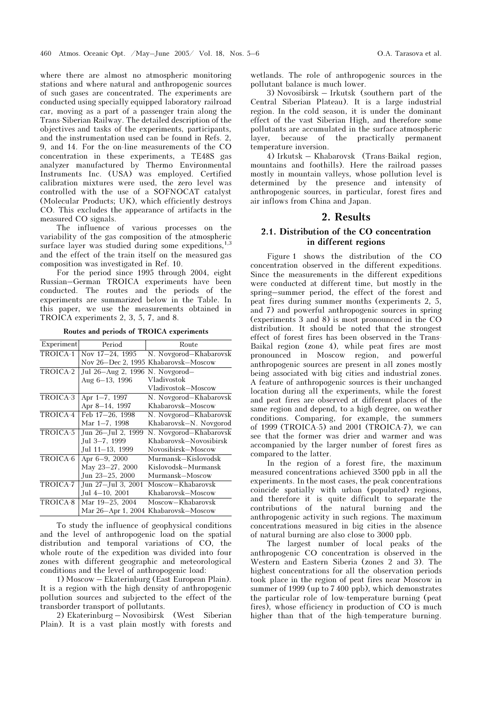where there are almost no atmospheric monitoring stations and where natural and anthropogenic sources of such gases are concentrated. The experiments are conducted using specially equipped laboratory railroad car, moving as a part of a passenger train along the Trans-Siberian Railway. The detailed description of the objectives and tasks of the experiments, participants, and the instrumentation used can be found in Refs. 2,

9, and 14. For the on-line measurements of the CO concentration in these experiments, a TE48S gas analyzer manufactured by Thermo Environmental Instruments Inc. (USA) was employed. Certified calibration mixtures were used, the zero level was controlled with the use of a SOFNOCAT catalyst (Molecular Products; UK), which efficiently destroys CO. This excludes the appearance of artifacts in the measured CO signals.

The influence of various processes on the variability of the gas composition of the atmospheric surface layer was studied during some expeditions,  $1,3$ and the effect of the train itself on the measured gas composition was investigated in Ref. 10.

For the period since 1995 through 2004, eight Russian–German TROICA experiments have been conducted. The routes and the periods of the experiments are summarized below in the Table. In this paper, we use the measurements obtained in TROICA experiments 2, 3, 5, 7, and 8.

Routes and periods of TROICA experiments

| Experiment | Period                          | Route                  |
|------------|---------------------------------|------------------------|
| TROICA-1   | Nov 17-24, 1995                 | N. Novgorod-Khabarovsk |
|            | Nov 26-Dec 2, 1995              | Khabarovsk-Moscow      |
| TROICA-2   | Jul 26–Aug 2, 1996 N. Novgorod– |                        |
|            | Aug 6–13, 1996                  | Vladivostok            |
|            |                                 | Vladivostok-Moscow     |
| TROICA-3   | Apr 1-7, 1997                   | N. Novgorod-Khabarovsk |
|            | Apr 8-14, 1997                  | Khabarovsk-Moscow      |
| TROICA-4   | Feb 17-26, 1998                 | N. Novgorod-Khabarovsk |
|            | Mar 1-7, 1998                   | Khabarovsk-N. Novgorod |
| TROICA-5   | Jun 26–Jul 2, 1999              | N. Novgorod-Khabarovsk |
|            | Jul 3–7, 1999                   | Khabarovsk–Novosibirsk |
|            | Jul 11–13, 1999                 | Novosibirsk-Moscow     |
| TROICA-6   | Apr 6-9, 2000                   | Murmansk-Kislovodsk    |
|            | May 23-27, 2000                 | Kislovodsk–Murmansk    |
|            | Jun 23-25, 2000                 | Murmansk-Moscow        |
| TROICA-7   | Jun 27-Jul 3, 2001              | Moscow-Khabarovsk      |
|            | Jul 4–10, 2001                  | Khabarovsk—Moscow      |
| TROICA-8   | Mar 19-25, 2004                 | Moscow-Khabarovsk      |
|            | Mar 26-Apr 1, 2004              | Khabarovsk-Moscow      |

To study the influence of geophysical conditions and the level of anthropogenic load on the spatial distribution and temporal variations of CO, the whole route of the expedition was divided into four zones with different geographic and meteorological conditions and the level of anthropogenic load:

1) Moscow – Ekaterinburg (East European Plain). It is a region with the high density of anthropogenic pollution sources and subjected to the effect of the transborder transport of pollutants.

2) Ekaterinburg – Novosibirsk (West Siberian Plain). It is a vast plain mostly with forests and wetlands. The role of anthropogenic sources in the pollutant balance is much lower.

3) Novosibirsk – Irkutsk (southern part of the Central Siberian Plateau). It is a large industrial region. In the cold season, it is under the dominant effect of the vast Siberian High, and therefore some pollutants are accumulated in the surface atmospheric layer, because of the practically permanent temperature inversion.

4) Irkutsk – Khabarovsk (Trans-Baikal region, mountains and foothills). Here the railroad passes mostly in mountain valleys, whose pollution level is determined by the presence and intensity of anthropogenic sources, in particular, forest fires and air inflows from China and Japan.

### 2. Results

## 2.1. Distribution of the CO concentration in different regions

Figure 1 shows the distribution of the  $CO$ concentration observed in the different expeditions. Since the measurements in the different expeditions were conducted at different time, but mostly in the spring–summer period, the effect of the forest and peat fires during summer months (experiments 2, 5, and 7) and powerful anthropogenic sources in spring (experiments  $3$  and  $8$ ) is most pronounced in the  $CO$ distribution. It should be noted that the strongest effect of forest fires has been observed in the Trans-Baikal region (zone 4), while peat fires are most pronounced in Moscow region, and powerful anthropogenic sources are present in all zones mostly being associated with big cities and industrial zones. A feature of anthropogenic sources is their unchanged location during all the experiments, while the forest and peat fires are observed at different places of the same region and depend, to a high degree, on weather conditions. Comparing, for example, the summers of 1999 (TROICA-5) and 2001 (TROICA-7), we can see that the former was drier and warmer and was accompanied by the larger number of forest fires as compared to the latter.

In the region of a forest fire, the maximum measured concentrations achieved 3500 ppb in all the experiments. In the most cases, the peak concentrations coincide spatially with urban (populated) regions, and therefore it is quite difficult to separate the contributions of the natural burning and the anthropogenic activity in such regions. The maximum concentrations measured in big cities in the absence of natural burning are also close to 3000 ppb.

The largest number of local peaks of the anthropogenic CO concentration is observed in the Western and Eastern Siberia (zones 2 and 3). The highest concentrations for all the observation periods took place in the region of peat fires near Moscow in summer of 1999 (up to 7 400 ppb), which demonstrates the particular role of low-temperature burning (peat fires), whose efficiency in production of CO is much higher than that of the high-temperature burning.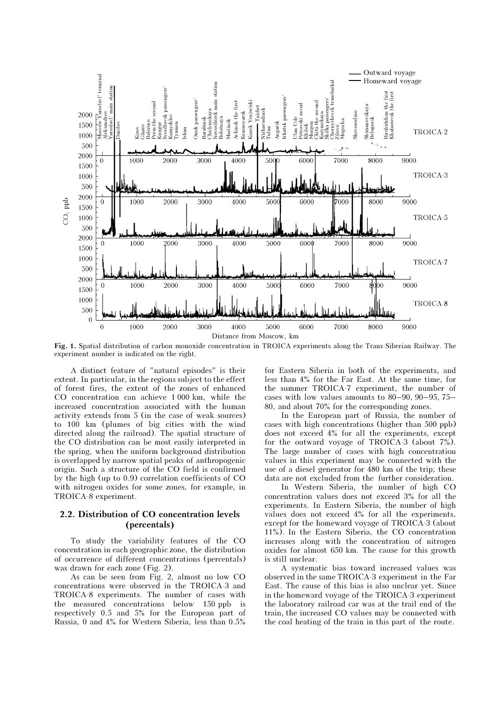

Fig. 1. Spatial distribution of carbon monoxide concentration in TROICA experiments along the Trans-Siberian Railway. The experiment number is indicated on the right.

A distinct feature of "natural episodes" is their extent. In particular, in the regions subject to the effect of forest fires, the extent of the zones of enhanced CO concentration can achieve 1 000 km, while the increased concentration associated with the human activity extends from 5 (in the case of weak sources) to 100 km (plumes of big cities with the wind directed along the railroad). The spatial structure of the CO distribution can be most easily interpreted in the spring, when the uniform background distribution is overlapped by narrow spatial peaks of anthropogenic origin. Such a structure of the CO field is confirmed by the high (up to  $0.9$ ) correlation coefficients of  $CO$ with nitrogen oxides for some zones, for example, in TROICA-8 experiment.

### 2.2. Distribution of CO concentration levels (percentals)

To study the variability features of the CO concentration in each geographic zone, the distribution of occurrence of different concentrations (percentals) was drawn for each zone (Fig. 2).

As can be seen from Fig. 2, almost no low CO concentrations were observed in the TROICA-3 and TROICA-8 experiments. The number of cases with the measured concentrations below 150 ppb is respectively 0.5 and 5% for the European part of Russia, 0 and 4% for Western Siberia, less than 0.5%

for Eastern Siberia in both of the experiments, and less than 4% for the Far East. At the same time, for the summer TROICA-7 experiment, the number of cases with low values amounts to 80–90, 90–95, 75– 80, and about 70% for the corresponding zones.

In the European part of Russia, the number of cases with high concentrations (higher than 500 ppb) does not exceed 4% for all the experiments, except for the outward voyage of TROICA-3 (about  $7\%$ ). The large number of cases with high concentration values in this experiment may be connected with the use of a diesel generator for 480 km of the trip; these data are not excluded from the further consideration.

In Western Siberia, the number of high CO concentration values does not exceed 3% for all the experiments. In Eastern Siberia, the number of high values does not exceed 4% for all the experiments, except for the homeward voyage of TROICA-3 (about 11%). In the Eastern Siberia, the CO concentration increases along with the concentration of nitrogen oxides for almost 650 km. The cause for this growth is still unclear.

A systematic bias toward increased values was observed in the same TROICA-3 experiment in the Far East. The cause of this bias is also unclear yet. Since in the homeward voyage of the TROICA-3 experiment the laboratory railroad car was at the trail end of the train, the increased CO values may be connected with the coal heating of the train in this part of the route.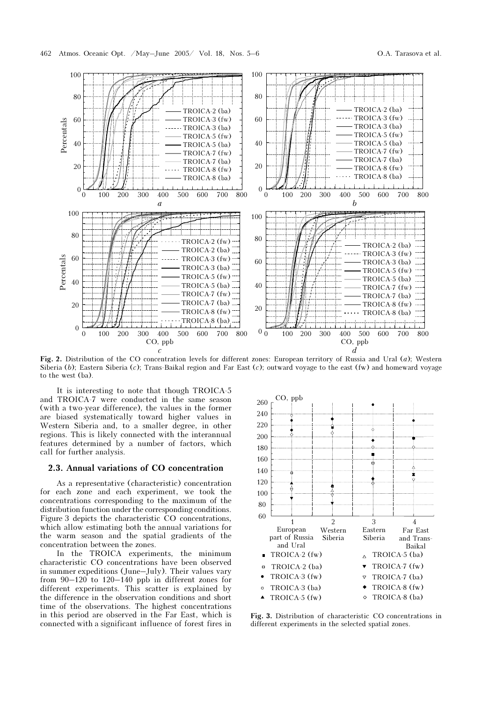

Fig. 2. Distribution of the CO concentration levels for different zones: European territory of Russia and Ural  $(a)$ ; Western Siberia (b); Eastern Siberia (c); Trans-Baikal region and Far East (c); outward voyage to the east (fw) and homeward voyage to the west (ba).

It is interesting to note that though TROICA-5 and TROICA-7 were conducted in the same season (with a two-year difference), the values in the former are biased systematically toward higher values in Western Siberia and, to a smaller degree, in other regions. This is likely connected with the interannual features determined by a number of factors, which call for further analysis.

#### 2.3. Annual variations of CO concentration

As a representative (characteristic) concentration for each zone and each experiment, we took the concentrations corresponding to the maximum of the distribution function under the corresponding conditions. Figure 3 depicts the characteristic CO concentrations, which allow estimating both the annual variations for the warm season and the spatial gradients of the concentration between the zones.

In the TROICA experiments, the minimum characteristic CO concentrations have been observed in summer expeditions (June–July). Their values vary from 90–120 to 120–140 ppb in different zones for different experiments. This scatter is explained by the difference in the observation conditions and short time of the observations. The highest concentrations in this period are observed in the Far East, which is connected with a significant influence of forest fires in



Fig. 3. Distribution of characteristic CO concentrations in different experiments in the selected spatial zones.